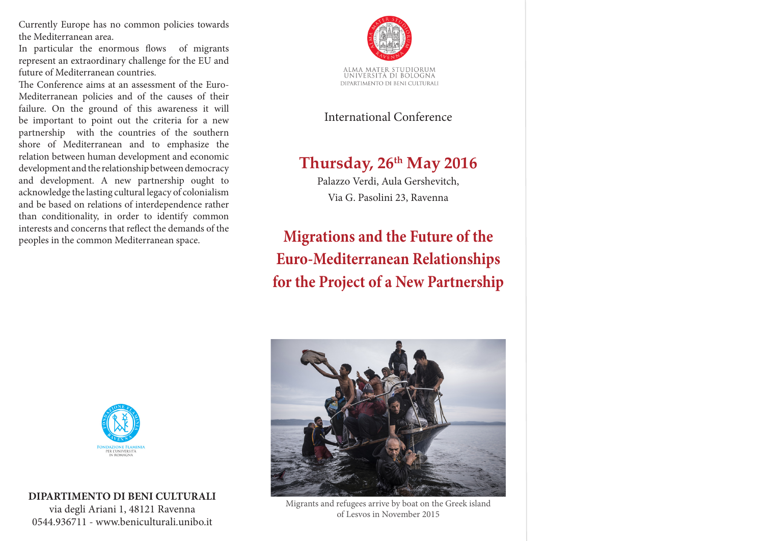Currently Europe has no common policies towards the Mediterranean area.

In particular the enormous flows of migrants represent an extraordinary challenge for the EU and future of Mediterranean countries.

The Conference aims at an assessment of the Euro-Mediterranean policies and of the causes of their failure. On the ground of this awareness it will be important to point out the criteria for a new partnership with the countries of the southern shore of Mediterranean and to emphasize the relation between human development and economic development and the relationship between democracy and development. A new partnership ought to acknowledge the lasting cultural legacy of colonialism and be based on relations of interdependence rather than conditionality, in order to identify common interests and concerns that reflect the demands of the peoples in the common Mediterranean space.



International Conference

# **Thursday, 26th May 2016**

Palazzo Verdi, Aula Gershevitch, Via G. Pasolini 23, Ravenna

**Migrations and the Future of the Euro-Mediterranean Relationships for the Project of a New Partnership**



#### **DIPARTIMENTO DI BENI CULTURALI**

via degli Ariani 1, 48121 Ravenna 0544.936711 - www.beniculturali.unibo.it



Migrants and refugees arrive by boat on the Greek island of Lesvos in November 2015